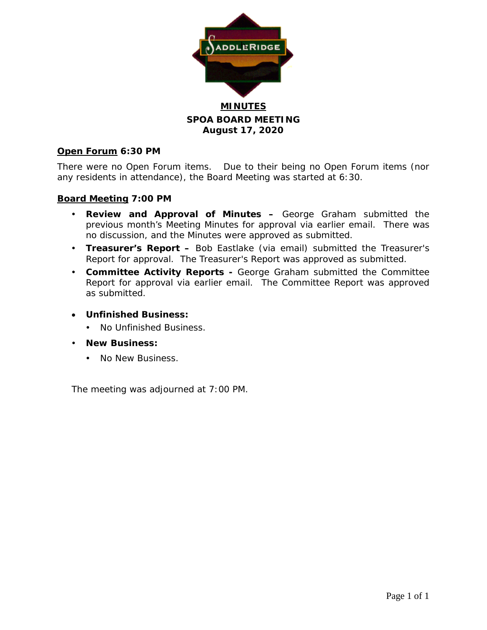

**SPOA BOARD MEETING August 17, 2020**

## **Open Forum 6:30 PM**

There were no Open Forum items. Due to their being no Open Forum items (nor any residents in attendance), the Board Meeting was started at 6:30.

## **Board Meeting 7:00 PM**

- **Review and Approval of Minutes –** George Graham submitted the previous month's Meeting Minutes for approval via earlier email. There was no discussion, and the Minutes were approved as submitted.
- **Treasurer's Report –** Bob Eastlake (via email) submitted the Treasurer's Report for approval. The Treasurer's Report was approved as submitted.
- **Committee Activity Reports -** George Graham submitted the Committee Report for approval via earlier email. The Committee Report was approved as submitted.
- **Unfinished Business:**
	- No Unfinished Business.
- **New Business:**
	- No New Business.

The meeting was adjourned at 7:00 PM.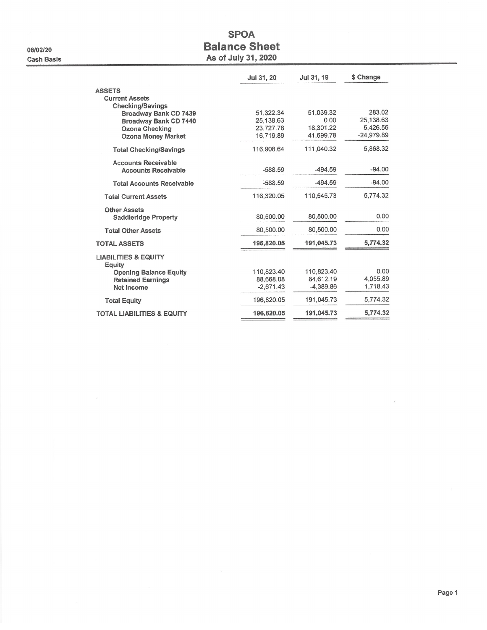08/02/20 **Cash Basis** 

# **SPOA Balance Sheet** As of July 31, 2020

|                                                         | Jul 31, 20  | Jul 31, 19  | \$ Change    |
|---------------------------------------------------------|-------------|-------------|--------------|
| <b>ASSETS</b>                                           |             |             |              |
| <b>Current Assets</b>                                   |             |             |              |
| <b>Checking/Savings</b><br><b>Broadway Bank CD 7439</b> | 51.322.34   | 51,039.32   | 283.02       |
| <b>Broadway Bank CD 7440</b>                            | 25.138.63   | 0.00        | 25,138.63    |
| <b>Ozona Checking</b>                                   | 23,727.78   | 18,301.22   | 5,426.56     |
| <b>Ozona Money Market</b>                               | 16,719.89   | 41.699.78   | $-24,979.89$ |
| <b>Total Checking/Savings</b>                           | 116,908.64  | 111,040.32  | 5,868.32     |
| <b>Accounts Receivable</b>                              |             |             |              |
| <b>Accounts Receivable</b>                              | $-588.59$   | $-494.59$   | $-94.00$     |
| <b>Total Accounts Receivable</b>                        | $-588.59$   | $-494.59$   | $-94.00$     |
| <b>Total Current Assets</b>                             | 116.320.05  | 110,545.73  | 5,774.32     |
| <b>Other Assets</b>                                     |             |             |              |
| <b>Saddleridge Property</b>                             | 80,500.00   | 80,500.00   | 0.00         |
| <b>Total Other Assets</b>                               | 80,500.00   | 80.500.00   | 0.00         |
| <b>TOTAL ASSETS</b>                                     | 196,820.05  | 191,045.73  | 5,774.32     |
| <b>LIABILITIES &amp; EQUITY</b><br>Equity               |             |             |              |
| <b>Opening Balance Equity</b>                           | 110,823.40  | 110,823.40  | 0.00         |
| <b>Retained Earnings</b>                                | 88.668.08   | 84.612.19   | 4,055.89     |
| Net Income                                              | $-2,671.43$ | $-4,389.86$ | 1,718.43     |
| <b>Total Equity</b>                                     | 196,820.05  | 191,045.73  | 5.774.32     |
| <b>TOTAL LIABILITIES &amp; EQUITY</b>                   | 196,820.05  | 191.045.73  | 5,774.32     |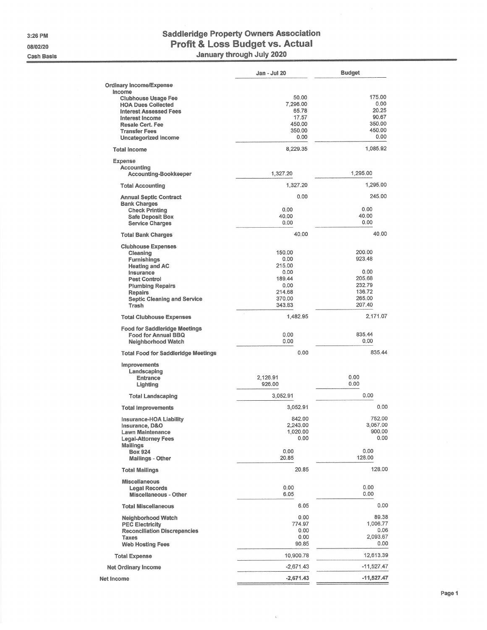3:26 PM 08/02/20

**Cash Basis** 

# **Saddleridge Property Owners Association** Profit & Loss Budget vs. Actual January through July 2020

|                                                            | Jan - Jul 20         | <b>Budget</b>      |
|------------------------------------------------------------|----------------------|--------------------|
| <b>Ordinary Income/Expense</b>                             |                      |                    |
| Income                                                     |                      |                    |
| <b>Clubhouse Usage Fee</b>                                 | 50.00<br>7,296.00    | 175.00<br>0.00     |
| <b>HOA Dues Collected</b><br><b>Interest Assessed Fees</b> | 65.78                | 20.25              |
| Interest Income                                            | 17.57                | 90.67              |
| <b>Resale Cert. Fee</b>                                    | 450.00               | 350.00             |
| <b>Transfer Fees</b>                                       | 350.00               | 450.00             |
| Uncategorized Income                                       | 0.00                 | 0.00               |
| <b>Total Income</b>                                        | 8,229.35             | 1,085.92           |
| Expense                                                    |                      |                    |
| <b>Accounting</b><br><b>Accounting-Bookkeeper</b>          | 1,327.20             | 1,295.00           |
| <b>Total Accounting</b>                                    | 1,327.20             | 1,295.00           |
| <b>Annual Septic Contract</b>                              | 0.00                 | 245,00             |
| <b>Bank Charges</b><br><b>Check Printing</b>               | 0.00                 | 0.00               |
| <b>Safe Deposit Box</b>                                    | 40.00                | 40.00              |
| <b>Service Charges</b>                                     | 0.00                 | 0.00               |
| <b>Total Bank Charges</b>                                  | 40.00                | 40.00              |
| <b>Clubhouse Expenses</b>                                  |                      |                    |
| Cleaning                                                   | 150.00               | 200.00             |
| <b>Furnishings</b>                                         | 0.00<br>215.00       | 923,48             |
| <b>Heating and AC</b><br>Insurance                         | 0.00                 | 0.00               |
| <b>Pest Control</b>                                        | 189.44               | 205.68             |
| <b>Plumbing Repairs</b>                                    | 0.00                 | 232.79             |
| <b>Repairs</b>                                             | 214.68               | 136.72             |
| <b>Septic Cleaning and Service</b><br>Trash                | 370.00<br>343.83     | 265.00<br>207.40   |
| <b>Total Clubhouse Expenses</b>                            | ò.<br>1,482.95       | 2,171.07           |
| <b>Food for Saddleridge Meetings</b>                       |                      |                    |
| <b>Food for Annual BBQ</b>                                 | 0.00                 | 835.44             |
| <b>Neighborhood Watch</b>                                  | 0.00                 | 0.00               |
| <b>Total Food for Saddleridge Meetings</b>                 | 0.00                 | 835.44             |
| Improvements                                               |                      |                    |
| Landscaping                                                |                      |                    |
| <b>Entrance</b>                                            | 2,126.91             | 0.00<br>0.00       |
| Lighting                                                   | 926.00               |                    |
| <b>Total Landscaping</b>                                   | 3,052.91             | 0.00               |
| <b>Total Improvements</b>                                  | 3,052.91             | 0.00               |
| Insurance-HOA Liability                                    | 842.00               | 752.00             |
| Insurance, D&O                                             | 2,243.00<br>1,020.00 | 3,057.00<br>900.00 |
| Lawn Maintenance<br><b>Legal-Attorney Fees</b>             | 0.00                 | 0.00               |
| <b>Mailings</b>                                            |                      |                    |
| <b>Box 924</b><br><b>Mailings - Other</b>                  | 0.00<br>20.85        | 0.00<br>128.00     |
| <b>Total Mailings</b>                                      | 20.85                | 128.00             |
| <b>Miscellaneous</b>                                       |                      |                    |
| <b>Legal Records</b>                                       | 0.00                 | 0.00               |
| <b>Miscellaneous - Other</b>                               | 6.05                 | 0.00               |
| <b>Total Miscellaneous</b>                                 | 6.05                 | 0.00               |
| <b>Neighborhood Watch</b>                                  | 0.00                 | 89.38              |
| <b>PEC Electricity</b>                                     | 774.97               | 1,006.77           |
| <b>Reconciliation Discrepancies</b>                        | 0.00                 | 0.06               |
| Taxes                                                      | 0.00<br>90.85        | 2,093.67<br>0.00   |
| <b>Web Hosting Fees</b>                                    |                      |                    |
| <b>Total Expense</b>                                       | 10,900.78            | 12,613.39          |
| <b>Net Ordinary Income</b>                                 | $-2,671.43$          | -11,527.47         |
| Net Income                                                 | $-2,671.43$          | $-11,527.47$       |

 $\bar{\chi}$